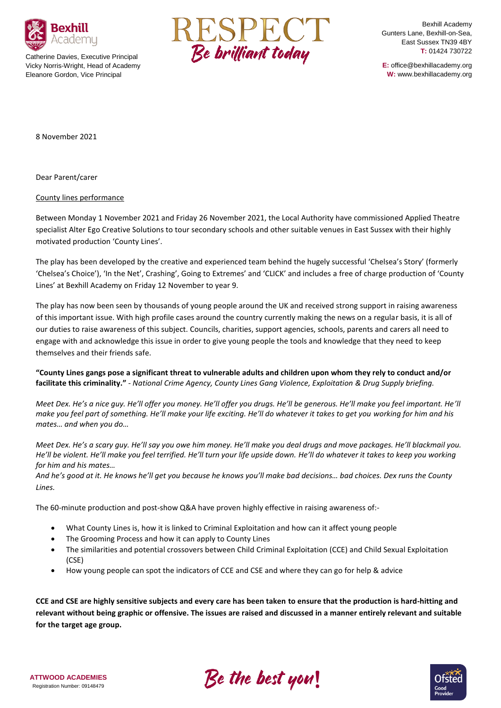

Catherine Davies, Executive Principal Vicky Norris-Wright, Head of Academy Eleanore Gordon, Vice Principal



Bexhill Academy Gunters Lane, Bexhill-on-Sea, East Sussex TN39 4BY **T:** 01424 730722

**E:** office@bexhillacademy.org **W:** www.bexhillacademy.org

8 November 2021

Dear Parent/carer

## County lines performance

Between Monday 1 November 2021 and Friday 26 November 2021, the Local Authority have commissioned Applied Theatre specialist Alter Ego Creative Solutions to tour secondary schools and other suitable venues in East Sussex with their highly motivated production 'County Lines'.

The play has been developed by the creative and experienced team behind the hugely successful 'Chelsea's Story' (formerly 'Chelsea's Choice'), 'In the Net', Crashing', Going to Extremes' and 'CLICK' and includes a free of charge production of 'County Lines' at Bexhill Academy on Friday 12 November to year 9.

The play has now been seen by thousands of young people around the UK and received strong support in raising awareness of this important issue. With high profile cases around the country currently making the news on a regular basis, it is all of our duties to raise awareness of this subject. Councils, charities, support agencies, schools, parents and carers all need to engage with and acknowledge this issue in order to give young people the tools and knowledge that they need to keep themselves and their friends safe.

**"County Lines gangs pose a significant threat to vulnerable adults and children upon whom they rely to conduct and/or facilitate this criminality."** *- National Crime Agency, County Lines Gang Violence, Exploitation & Drug Supply briefing.*

*Meet Dex. He's a nice guy. He'll offer you money. He'll offer you drugs. He'll be generous. He'll make you feel important. He'll make you feel part of something. He'll make your life exciting. He'll do whatever it takes to get you working for him and his mates… and when you do…*

*Meet Dex. He's a scary guy. He'll say you owe him money. He'll make you deal drugs and move packages. He'll blackmail you. He'll be violent. He'll make you feel terrified. He'll turn your life upside down. He'll do whatever it takes to keep you working for him and his mates…* 

*And he's good at it. He knows he'll get you because he knows you'll make bad decisions… bad choices. Dex runs the County Lines.*

The 60-minute production and post-show Q&A have proven highly effective in raising awareness of:-

- What County Lines is, how it is linked to Criminal Exploitation and how can it affect young people
- The Grooming Process and how it can apply to County Lines
- The similarities and potential crossovers between Child Criminal Exploitation (CCE) and Child Sexual Exploitation  $(CSF)$
- How young people can spot the indicators of CCE and CSE and where they can go for help & advice

**CCE and CSE are highly sensitive subjects and every care has been taken to ensure that the production is hard-hitting and relevant without being graphic or offensive. The issues are raised and discussed in a manner entirely relevant and suitable for the target age group.**